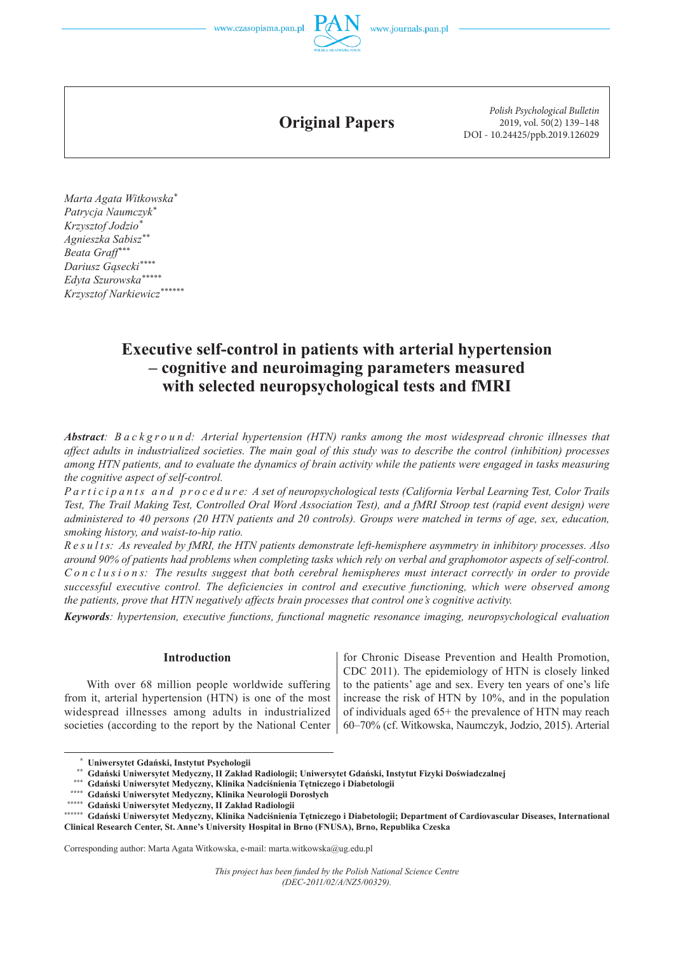**Original Papers**

*Polish Psychological Bulletin* 2019, vol. 50(2) 139–148 DOI - 10.24425/ppb.2019.126029

 *Marta Agata Witkowska\* Patrycja Naumczyk\* Krzysztof Jodzio\* Agnieszka Sabisz\*\* Beata Graff\*\*\* Dariusz Gąsecki\*\*\*\* Edyta Szurowska\*\*\*\*\* Krzysztof Narkiewicz\*\*\*\*\*\**

# **Executive self-control in patients with arterial hypertension – cognitive and neuroimaging parameters measured with selected neuropsychological tests and fMRI**

*Abstract: B a c k g r o u n d: Arterial hypertension (HTN) ranks among the most widespread chronic illnesses that affect adults in industrialized societies. The main goal of this study was to describe the control (inhibition) processes among HTN patients, and to evaluate the dynamics of brain activity while the patients were engaged in tasks measuring the cognitive aspect of self-control.* 

*Participants and procedure: A set of neuropsychological tests (California Verbal Learning Test, Color Trails Test, The Trail Making Test, Controlled Oral Word Association Test), and a fMRI Stroop test (rapid event design) were administered to 40 persons (20 HTN patients and 20 controls). Groups were matched in terms of age, sex, education, smoking history, and waist-to-hip ratio.*

*R e s u l t s: As revealed by fMRI, the HTN patients demonstrate left-hemisphere asymmetry in inhibitory processes. Also around 90% of patients had problems when completing tasks which rely on verbal and graphomotor aspects of self-control. C o n c l u s i o n s: The results suggest that both cerebral hemispheres must interact correctly in order to provide successful executive control. The deficiencies in control and executive functioning, which were observed among the patients, prove that HTN negatively affects brain processes that control one's cognitive activity.*

*Keywords: hypertension, executive functions, functional magnetic resonance imaging, neuropsychological evaluation*

#### **Introduction**

With over 68 million people worldwide suffering from it, arterial hypertension (HTN) is one of the most widespread illnesses among adults in industrialized societies (according to the report by the National Center for Chronic Disease Prevention and Health Promotion, CDC 2011). The epidemiology of HTN is closely linked to the patients' age and sex. Every ten years of one's life increase the risk of HTN by 10%, and in the population of individuals aged 65+ the prevalence of HTN may reach 60–70% (cf. Witkowska, Naumczyk, Jodzio, 2015). Arterial

Corresponding author: Marta Agata Witkowska, e-mail: marta.witkowska@ug.edu.pl

<sup>\*</sup> Uniwersytet Gdański, Instytut Psychologii<br>\*\* Gdański Uniwersytet Medyczny, II Zakład Radiologii; Uniwersytet Gdański, Instytut Fizyki Doświadczalnej<br>\*\*\* Gdański Uniwersytet Medyczny, Klinika Nadciśnienia Tętniczego i Dia

**<sup>\*\*\*\*\*\*</sup> Gdański Uniwersytet Medyczny, Klinika Nadciśnienia Tętniczego i Diabetologii; Department of Cardiovascular Diseases, International Clinical Research Center, St. Anne's University Hospital in Brno (FNUSA), Brno, Republika Czeska**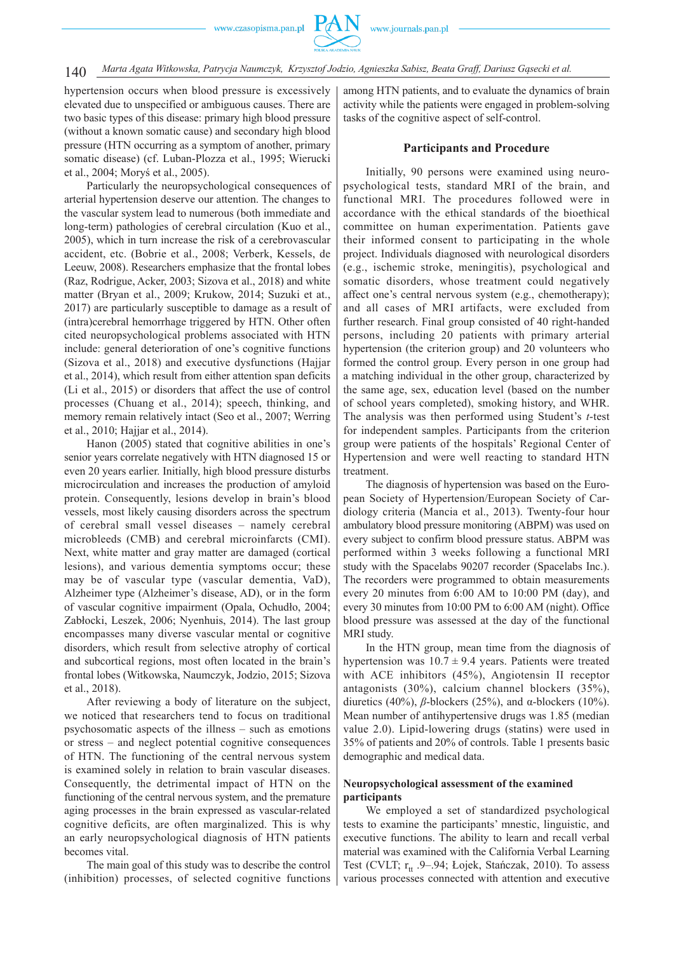## 140 *Marta Agata Witkowska, Patrycja Naumczyk, Krzysztof Jodzio, Agnieszka Sabisz, Beata Graff, Dariusz Gąsecki et al.*

hypertension occurs when blood pressure is excessively elevated due to unspecified or ambiguous causes. There are two basic types of this disease: primary high blood pressure (without a known somatic cause) and secondary high blood pressure (HTN occurring as a symptom of another, primary somatic disease) (cf. Luban-Plozza et al., 1995; Wierucki et al., 2004; Moryś et al., 2005).

Particularly the neuropsychological consequences of arterial hypertension deserve our attention. The changes to the vascular system lead to numerous (both immediate and long-term) pathologies of cerebral circulation (Kuo et al., 2005), which in turn increase the risk of a cerebrovascular accident, etc. (Bobrie et al., 2008; Verberk, Kessels, de Leeuw, 2008). Researchers emphasize that the frontal lobes (Raz, Rodrigue, Acker, 2003; Sizova et al., 2018) and white matter (Bryan et al., 2009; Krukow, 2014; Suzuki et at., 2017) are particularly susceptible to damage as a result of (intra)cerebral hemorrhage triggered by HTN. Other often cited neuropsychological problems associated with HTN include: general deterioration of one's cognitive functions (Sizova et al., 2018) and executive dysfunctions (Hajjar et al., 2014), which result from either attention span deficits (Li et al., 2015) or disorders that affect the use of control processes (Chuang et al., 2014); speech, thinking, and memory remain relatively intact (Seo et al., 2007; Werring et al., 2010; Hajjar et al., 2014).

Hanon (2005) stated that cognitive abilities in one's senior years correlate negatively with HTN diagnosed 15 or even 20 years earlier. Initially, high blood pressure disturbs microcirculation and increases the production of amyloid protein. Consequently, lesions develop in brain's blood vessels, most likely causing disorders across the spectrum of cerebral small vessel diseases – namely cerebral microbleeds (CMB) and cerebral microinfarcts (CMI). Next, white matter and gray matter are damaged (cortical lesions), and various dementia symptoms occur; these may be of vascular type (vascular dementia, VaD), Alzheimer type (Alzheimer's disease, AD), or in the form of vascular cognitive impairment (Opala, Ochudło, 2004; Zabłocki, Leszek, 2006; Nyenhuis, 2014). The last group encompasses many diverse vascular mental or cognitive disorders, which result from selective atrophy of cortical and subcortical regions, most often located in the brain's frontal lobes (Witkowska, Naumczyk, Jodzio, 2015; Sizova et al., 2018).

After reviewing a body of literature on the subject, we noticed that researchers tend to focus on traditional psychosomatic aspects of the illness – such as emotions or stress – and neglect potential cognitive consequences of HTN. The functioning of the central nervous system is examined solely in relation to brain vascular diseases. Consequently, the detrimental impact of HTN on the functioning of the central nervous system, and the premature aging processes in the brain expressed as vascular -related cognitive deficits, are often marginalized. This is why an early neuropsychological diagnosis of HTN patients becomes vital.

The main goal of this study was to describe the control (inhibition) processes, of selected cognitive functions

among HTN patients, and to evaluate the dynamics of brain activity while the patients were engaged in problem-solving tasks of the cognitive aspect of self-control.

### **Participants and Procedure**

Initially, 90 persons were examined using neuropsychological tests, standard MRI of the brain, and functional MRI. The procedures followed were in accordance with the ethical standards of the bioethical committee on human experimentation. Patients gave their informed consent to participating in the whole project. Individuals diagnosed with neurological disorders (e.g., ischemic stroke, meningitis), psychological and somatic disorders, whose treatment could negatively affect one's central nervous system (e.g., chemotherapy); and all cases of MRI artifacts, were excluded from further research. Final group consisted of 40 right-handed persons, including 20 patients with primary arterial hypertension (the criterion group) and 20 volunteers who formed the control group. Every person in one group had a matching individual in the other group, characterized by the same age, sex, education level (based on the number of school years completed), smoking history, and WHR. The analysis was then performed using Student's *t*-test for independent samples. Participants from the criterion group were patients of the hospitals' Regional Center of Hypertension and were well reacting to standard HTN treatment.

The diagnosis of hypertension was based on the European Society of Hypertension/European Society of Cardiology criteria (Mancia et al., 2013). Twenty-four hour ambulatory blood pressure monitoring (ABPM) was used on every subject to confirm blood pressure status. ABPM was performed within 3 weeks following a functional MRI study with the Spacelabs 90207 recorder (Spacelabs Inc.). The recorders were programmed to obtain measurements every 20 minutes from 6:00 AM to 10:00 PM (day), and every 30 minutes from 10:00 PM to 6:00 AM (night). Office blood pressure was assessed at the day of the functional MRI study.

In the HTN group, mean time from the diagnosis of hypertension was  $10.7 \pm 9.4$  years. Patients were treated with ACE inhibitors (45%), Angiotensin II receptor antagonists (30%), calcium channel blockers (35%), diuretics (40%), *β*-blockers (25%), and α-blockers (10%). Mean number of antihypertensive drugs was 1.85 (median value 2.0). Lipid-lowering drugs (statins) were used in 35% of patients and 20% of controls. Table 1 presents basic demographic and medical data.

### **Neuropsychological assessment of the examined participants**

We employed a set of standardized psychological tests to examine the participants' mnestic, linguistic, and executive functions. The ability to learn and recall verbal material was examined with the California Verbal Learning Test (CVLT;  $r_{tt}$  .9–.94; Łojek, Stańczak, 2010). To assess various processes connected with attention and executive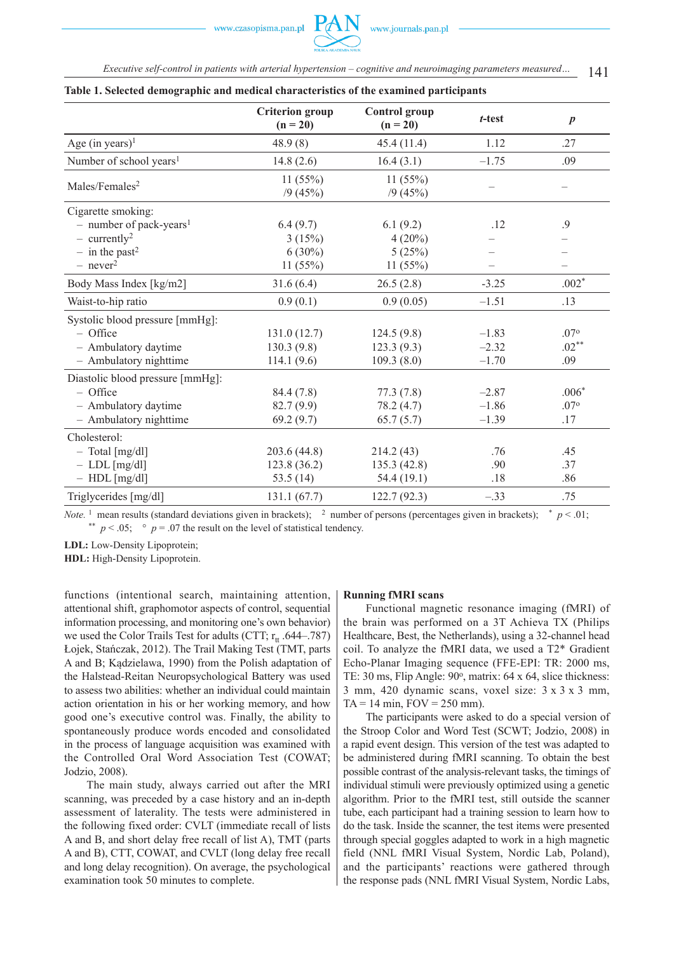141 *Executive self-control in patients with arterial hypertension – cognitive and neuroimaging parameters measured…*

|                                     | <b>Criterion</b> group<br>$(n = 20)$ | <b>Control</b> group<br>$(n = 20)$ | $t$ -test | $\boldsymbol{p}$ |
|-------------------------------------|--------------------------------------|------------------------------------|-----------|------------------|
| Age (in years) <sup>1</sup>         | 48.9(8)                              | 45.4(11.4)                         | 1.12      | .27              |
| Number of school years <sup>1</sup> | 14.8(2.6)                            | 16.4(3.1)                          | $-1.75$   | .09              |
| Males/Females <sup>2</sup>          | 11(55%)<br>/9(45%)                   | 11 $(55%)$<br>/9(45%)              |           |                  |
| Cigarette smoking:                  |                                      |                                    |           |                  |
| - number of pack-years <sup>1</sup> | 6.4(9.7)                             | 6.1(9.2)                           | .12       | .9               |
| $-$ currently <sup>2</sup>          | 3(15%)                               | $4(20\%)$                          |           |                  |
| $-$ in the past <sup>2</sup>        | $6(30\%)$                            | 5(25%)                             |           |                  |
| $-$ never <sup>2</sup>              | 11(55%)                              | 11(55%)                            |           |                  |
| Body Mass Index [kg/m2]             | 31.6(6.4)                            | 26.5(2.8)                          | $-3.25$   | $.002*$          |
| Waist-to-hip ratio                  | 0.9(0.1)                             | 0.9(0.05)                          | $-1.51$   | .13              |
| Systolic blood pressure [mmHg]:     |                                      |                                    |           |                  |
| - Office                            | 131.0(12.7)                          | 124.5(9.8)                         | $-1.83$   | .07°             |
| - Ambulatory daytime                | 130.3(9.8)                           | 123.3(9.3)                         | $-2.32$   | $.02***$         |
| - Ambulatory nighttime              | 114.1(9.6)                           | 109.3(8.0)                         | $-1.70$   | .09              |
| Diastolic blood pressure [mmHg]:    |                                      |                                    |           |                  |
| - Office                            | 84.4 (7.8)                           | 77.3(7.8)                          | $-2.87$   | $.006*$          |
| - Ambulatory daytime                | 82.7(9.9)                            | 78.2 (4.7)                         | $-1.86$   | .07°             |
| - Ambulatory nighttime              | 69.2(9.7)                            | 65.7(5.7)                          | $-1.39$   | .17              |
| Cholesterol:                        |                                      |                                    |           |                  |
| $-$ Total [mg/dl]                   | 203.6 (44.8)                         | 214.2(43)                          | .76       | .45              |
| $-$ LDL $[mg/dl]$                   | 123.8 (36.2)                         | 135.3(42.8)                        | .90       | .37              |
| $-$ HDL [mg/dl]                     | 53.5 $(14)$                          | 54.4(19.1)                         | .18       | .86              |
| Triglycerides [mg/dl]               | 131.1(67.7)                          | 122.7(92.3)                        | $-.33$    | .75              |

**Table 1. Selected demographic and medical characteristics of the examined participants**

*Note.* <sup>1</sup> mean results (standard deviations given in brackets); <sup>2</sup> number of persons (percentages given in brackets);  $* p < .01$ ; \*\*  $p < .05$ ;  $\degree$  *p* = .07 the result on the level of statistical tendency.

**LDL:** Low-Density Lipoprotein;

**HDL:** High-Density Lipoprotein.

functions (intentional search, maintaining attention, attentional shift, graphomotor aspects of control, sequential information processing, and monitoring one's own behavior) we used the Color Trails Test for adults (CTT;  $r_{tt}$  .644–.787) Łojek, Stańczak, 2012). The Trail Making Test (TMT, parts A and B; Kądzielawa, 1990) from the Polish adaptation of the Halstead-Reitan Neuropsychological Battery was used to assess two abilities: whether an individual could maintain action orientation in his or her working memory, and how good one's executive control was. Finally, the ability to spontaneously produce words encoded and consolidated in the process of language acquisition was examined with the Controlled Oral Word Association Test (COWAT; Jodzio, 2008).

The main study, always carried out after the MRI scanning, was preceded by a case history and an in-depth assessment of laterality. The tests were administered in the following fixed order: CVLT (immediate recall of lists A and B, and short delay free recall of list A), TMT (parts A and B), CTT, COWAT, and CVLT (long delay free recall and long delay recognition). On average, the psychological examination took 50 minutes to complete.

#### **Running fMRI scans**

Functional magnetic resonance imaging (fMRI) of the brain was performed on a 3T Achieva TX (Philips Healthcare, Best, the Netherlands), using a 32-channel head coil. To analyze the fMRI data, we used a T2\* Gradient Echo-Planar Imaging sequence (FFE-EPI: TR: 2000 ms, TE: 30 ms, Flip Angle: 90°, matrix: 64 x 64, slice thickness: 3 mm, 420 dynamic scans, voxel size: 3 x 3 x 3 mm,  $TA = 14 \text{ min}, FOV = 250 \text{ mm}.$ 

The participants were asked to do a special version of the Stroop Color and Word Test (SCWT; Jodzio, 2008) in a rapid event design. This version of the test was adapted to be administered during fMRI scanning. To obtain the best possible contrast of the analysis-relevant tasks, the timings of individual stimuli were previously optimized using a genetic algorithm. Prior to the fMRI test, still outside the scanner tube, each participant had a training session to learn how to do the task. Inside the scanner, the test items were presented through special goggles adapted to work in a high magnetic field (NNL fMRI Visual System, Nordic Lab, Poland), and the participants' reactions were gathered through the response pads (NNL fMRI Visual System, Nordic Labs,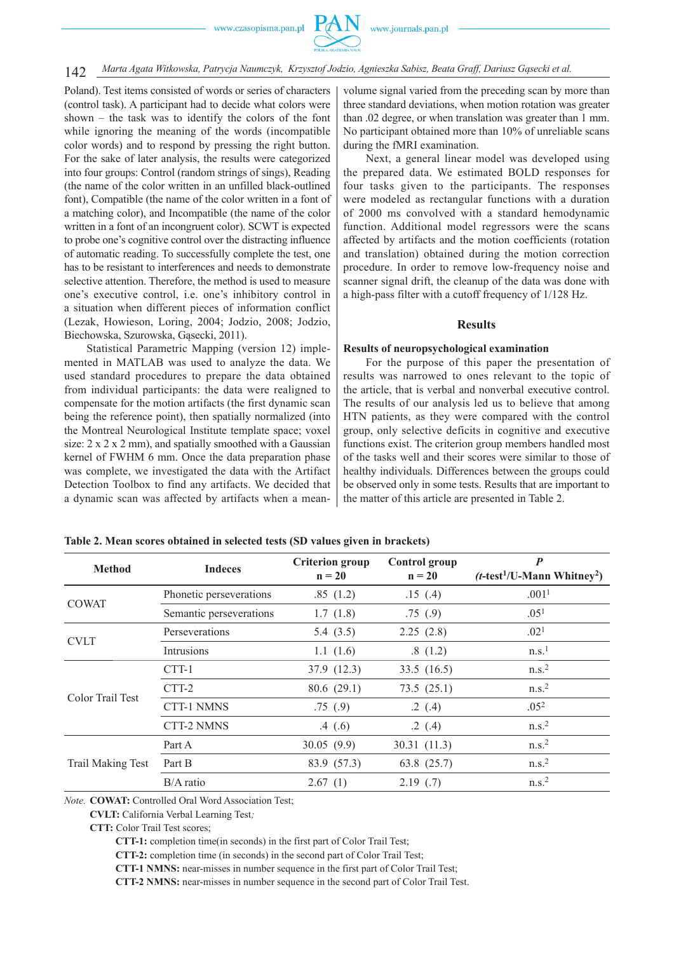142 *Marta Agata Witkowska, Patrycja Naumczyk, Krzysztof Jodzio, Agnieszka Sabisz, Beata Graff, Dariusz Gąsecki et al.*

Poland). Test items consisted of words or series of characters (control task). A participant had to decide what colors were shown – the task was to identify the colors of the font while ignoring the meaning of the words (incompatible color words) and to respond by pressing the right button. For the sake of later analysis, the results were categorized into four groups: Control (random strings of sings), Reading (the name of the color written in an unfilled black-outlined font), Compatible (the name of the color written in a font of a matching color), and Incompatible (the name of the color written in a font of an incongruent color). SCWT is expected to probe one's cognitive control over the distracting influence of automatic reading. To successfully complete the test, one has to be resistant to interferences and needs to demonstrate selective attention. Therefore, the method is used to measure one's executive control, i.e. one's inhibitory control in a situation when different pieces of information conflict (Lezak, Howieson, Loring, 2004; Jodzio, 2008; Jodzio, Biechowska, Szurowska, Gąsecki, 2011).

Statistical Parametric Mapping (version 12) implemented in MATLAB was used to analyze the data. We used standard procedures to prepare the data obtained from individual participants: the data were realigned to compensate for the motion artifacts (the first dynamic scan being the reference point), then spatially normalized (into the Montreal Neurological Institute template space; voxel size:  $2 \times 2 \times 2$  mm), and spatially smoothed with a Gaussian kernel of FWHM 6 mm. Once the data preparation phase was complete, we investigated the data with the Artifact Detection Toolbox to find any artifacts. We decided that a dynamic scan was affected by artifacts when a mean-

volume signal varied from the preceding scan by more than three standard deviations, when motion rotation was greater than .02 degree, or when translation was greater than 1 mm. No participant obtained more than 10% of unreliable scans during the fMRI examination.

Next, a general linear model was developed using the prepared data. We estimated BOLD responses for four tasks given to the participants. The responses were modeled as rectangular functions with a duration of 2000 ms convolved with a standard hemodynamic function. Additional model regressors were the scans affected by artifacts and the motion coefficients (rotation and translation) obtained during the motion correction procedure. In order to remove low-frequency noise and scanner signal drift, the cleanup of the data was done with a high-pass filter with a cutoff frequency of 1/128 Hz.

#### **Results**

#### **Results of neuropsychological examination**

For the purpose of this paper the presentation of results was narrowed to ones relevant to the topic of the article, that is verbal and nonverbal executive control. The results of our analysis led us to believe that among HTN patients, as they were compared with the control group, only selective deficits in cognitive and executive functions exist. The criterion group members handled most of the tasks well and their scores were similar to those of healthy individuals. Differences between the groups could be observed only in some tests. Results that are important to the matter of this article are presented in Table 2.

| <b>Method</b>            | <b>Indeces</b>          | <b>Criterion</b> group<br>$n = 20$ | <b>Control</b> group<br>$n = 20$ | $\boldsymbol{P}$<br>$(t$ -test <sup>1</sup> /U-Mann Whitney <sup>2</sup> ) |
|--------------------------|-------------------------|------------------------------------|----------------------------------|----------------------------------------------------------------------------|
| <b>COWAT</b>             | Phonetic perseverations | .85(1.2)                           | .15(4)                           | .001 <sup>1</sup>                                                          |
|                          | Semantic perseverations | 1.7(1.8)                           | .75(9)                           | .05 <sup>1</sup>                                                           |
| <b>CVLT</b>              | Perseverations          | 5.4 $(3.5)$                        | 2.25(2.8)                        | .02 <sup>1</sup>                                                           |
|                          | Intrusions              | 1.1(1.6)                           | .8(1.2)                          | n.s. <sup>1</sup>                                                          |
| Color Trail Test         | CTT-1                   | 37.9 (12.3)                        | 33.5 $(16.5)$                    | n.s. <sup>2</sup>                                                          |
|                          | CTT-2                   | 80.6(29.1)                         | 73.5(25.1)                       | n.s. <sup>2</sup>                                                          |
|                          | <b>CTT-1 NMNS</b>       | .75(9)                             | .2(.4)                           | .05 <sup>2</sup>                                                           |
|                          | <b>CTT-2 NMNS</b>       | .4(6)                              | .2(.4)                           | n.s. <sup>2</sup>                                                          |
| <b>Trail Making Test</b> | Part A                  | 30.05(9.9)                         | 30.31(11.3)                      | n.s. <sup>2</sup>                                                          |
|                          | Part B                  | 83.9 (57.3)                        | 63.8 (25.7)                      | n.s. <sup>2</sup>                                                          |
|                          | $B/A$ ratio             | 2.67(1)                            | 2.19(0.7)                        | n.s. <sup>2</sup>                                                          |

**Table 2. Mean scores obtained in selected tests (SD values given in brackets)**

*Note.* **COWAT:** Controlled Oral Word Association Test;

**CVLT:** California Verbal Learning Test*;*

**CTT-1:** completion time(in seconds) in the first part of Color Trail Test;

**CTT-2:** completion time (in seconds) in the second part of Color Trail Test;

**CTT-1 NMNS:** near-misses in number sequence in the first part of Color Trail Test;

**CTT-2 NMNS:** near-misses in number sequence in the second part of Color Trail Test.

**CTT:** Color Trail Test scores;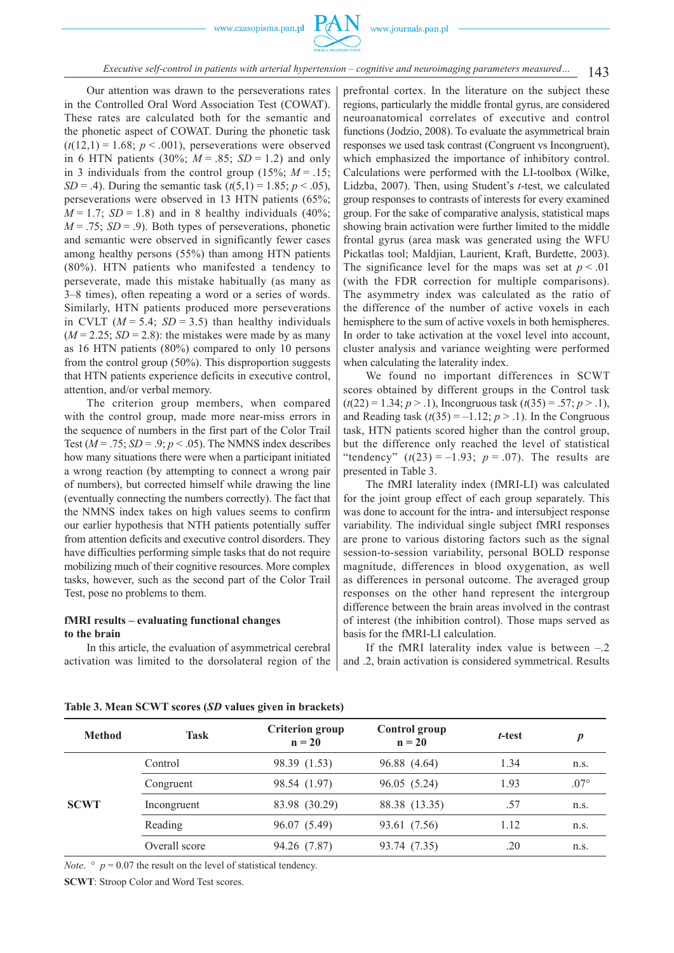

143 *Executive self-control in patients with arterial hypertension – cognitive and neuroimaging parameters measured…*

Our attention was drawn to the perseverations rates in the Controlled Oral Word Association Test (COWAT). These rates are calculated both for the semantic and the phonetic aspect of COWAT. During the phonetic task  $(t(12,1) = 1.68$ ;  $p < .001$ ), perseverations were observed in 6 HTN patients (30%;  $M = .85$ ;  $SD = 1.2$ ) and only in 3 individuals from the control group  $(15\%; M=.15;$ *SD* = .4). During the semantic task  $(t(5,1) = 1.85; p < .05)$ , perseverations were observed in 13 HTN patients (65%;  $M = 1.7$ ; *SD* = 1.8) and in 8 healthy individuals (40%;  $M = .75$ ; *SD* = .9). Both types of perseverations, phonetic and semantic were observed in significantly fewer cases among healthy persons (55%) than among HTN patients (80%). HTN patients who manifested a tendency to perseverate, made this mistake habitually (as many as 3–8 times), often repeating a word or a series of words. Similarly, HTN patients produced more perseverations in CVLT  $(M = 5.4; SD = 3.5)$  than healthy individuals  $(M = 2.25; SD = 2.8)$ : the mistakes were made by as many as 16 HTN patients (80%) compared to only 10 persons from the control group (50%). This disproportion suggests that HTN patients experience deficits in executive control, attention, and/or verbal memory.

The criterion group members, when compared with the control group, made more near-miss errors in the sequence of numbers in the first part of the Color Trail Test ( $M = .75$ ;  $SD = .9$ ;  $p < .05$ ). The NMNS index describes how many situations there were when a participant initiated a wrong reaction (by attempting to connect a wrong pair of numbers), but corrected himself while drawing the line (eventually connecting the numbers correctly). The fact that the NMNS index takes on high values seems to confirm our earlier hypothesis that NTH patients potentially suffer from attention deficits and executive control disorders. They have difficulties performing simple tasks that do not require mobilizing much of their cognitive resources. More complex tasks, however, such as the second part of the Color Trail Test, pose no problems to them.

#### **fMRI results – evaluating functional changes to the brain**

In this article, the evaluation of asymmetrical cerebral activation was limited to the dorsolateral region of the

prefrontal cortex. In the literature on the subject these regions, particularly the middle frontal gyrus, are considered neuroanatomical correlates of executive and control functions (Jodzio, 2008). To evaluate the asymmetrical brain responses we used task contrast (Congruent vs Incongruent), which emphasized the importance of inhibitory control. Calculations were performed with the LI-toolbox (Wilke, Lidzba, 2007). Then, using Student's *t*-test, we calculated group responses to contrasts of interests for every examined group. For the sake of comparative analysis, statistical maps showing brain activation were further limited to the middle frontal gyrus (area mask was generated using the WFU Pickatlas tool; Maldjian, Laurient, Kraft, Burdette, 2003). The significance level for the maps was set at  $p < 0.01$ (with the FDR correction for multiple comparisons). The asymmetry index was calculated as the ratio of the difference of the number of active voxels in each hemisphere to the sum of active voxels in both hemispheres. In order to take activation at the voxel level into account, cluster analysis and variance weighting were performed when calculating the laterality index.

We found no important differences in SCWT scores obtained by different groups in the Control task  $(t(22) = 1.34; p > 0.1)$ , Incongruous task  $(t(35) = 0.57; p > 0.1)$ , and Reading task  $(t(35) = -1.12; p > .1)$ . In the Congruous task, HTN patients scored higher than the control group, but the difference only reached the level of statistical "tendency"  $(t(23) = -1.93; p = .07)$ . The results are presented in Table 3.

The fMRI laterality index (fMRI-LI) was calculated for the joint group effect of each group separately. This was done to account for the intra- and intersubject response variability. The individual single subject fMRI responses are prone to various distoring factors such as the signal session-to-session variability, personal BOLD response magnitude, differences in blood oxygenation, as well as differences in personal outcome. The averaged group responses on the other hand represent the intergroup difference between the brain areas involved in the contrast of interest (the inhibition control). Those maps served as basis for the fMRI-LI calculation.

If the fMRI laterality index value is between  $-.2$ and .2, brain activation is considered symmetrical. Results

| <b>Method</b> | <b>Task</b>   | <b>Criterion group</b><br>$n = 20$ | <b>Control</b> group<br>$n = 20$ | t-test | D             |
|---------------|---------------|------------------------------------|----------------------------------|--------|---------------|
| <b>SCWT</b>   | Control       | 98.39 (1.53)                       | 96.88 (4.64)                     | 1.34   | n.S.          |
|               | Congruent     | 98.54 (1.97)                       | 96.05 (5.24)                     | 1.93   | $.07^{\circ}$ |
|               | Incongruent   | 83.98 (30.29)                      | 88.38 (13.35)                    | .57    | n.s.          |
|               | Reading       | 96.07 (5.49)                       | 93.61 (7.56)                     | 1.12   | n.s.          |
|               | Overall score | 94.26 (7.87)                       | 93.74 (7.35)                     | .20    | n.S.          |

**Table 3. Mean SCWT scores (***SD* **values given in brackets)**

*Note.*  $\degree$  *p* = 0.07 the result on the level of statistical tendency.

**SCWT**: Stroop Color and Word Test scores.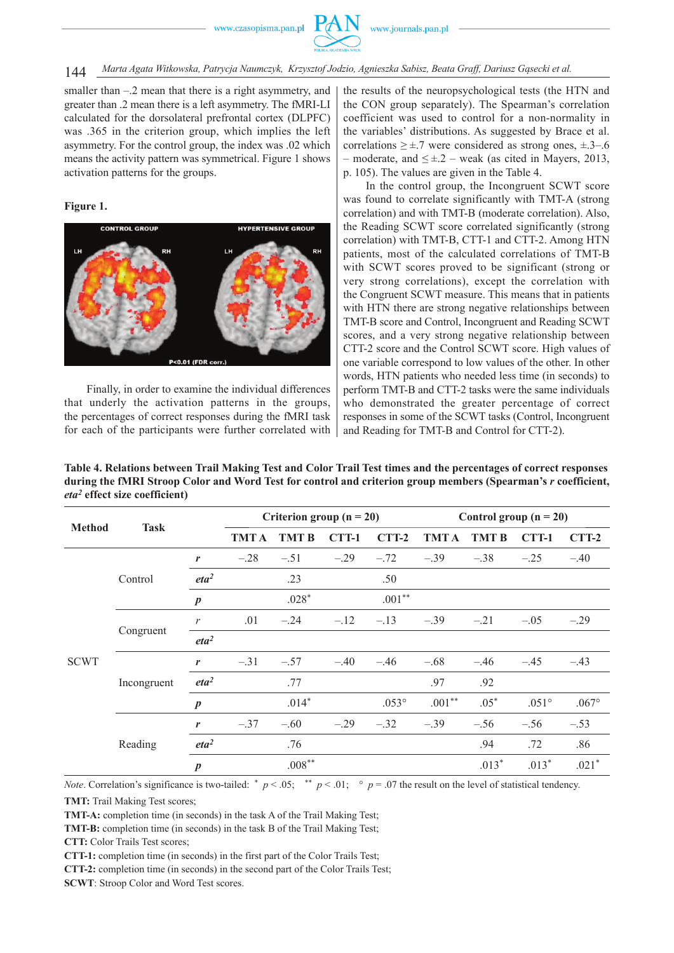

144 *Marta Agata Witkowska, Patrycja Naumczyk, Krzysztof Jodzio, Agnieszka Sabisz, Beata Graff, Dariusz Gąsecki et al.*

smaller than –.2 mean that there is a right asymmetry, and greater than .2 mean there is a left asymmetry. The fMRI-LI calculated for the dorsolateral prefrontal cortex (DLPFC) was .365 in the criterion group, which implies the left asymmetry. For the control group, the index was .02 which means the activity pattern was symmetrical. Figure 1 shows activation patterns for the groups.

#### **Figure 1.**



Finally, in order to examine the individual differences that underly the activation patterns in the groups, the percentages of correct responses during the fMRI task for each of the participants were further correlated with

the results of the neuropsychological tests (the HTN and the CON group separately). The Spearman's correlation coefficient was used to control for a non-normality in the variables' distributions. As suggested by Brace et al. correlations  $\geq \pm .7$  were considered as strong ones,  $\pm .3-.6$ – moderate, and  $\leq \pm 2$  – weak (as cited in Mayers, 2013, p. 105). The values are given in the Table 4.

In the control group, the Incongruent SCWT score was found to correlate significantly with TMT-A (strong correlation) and with TMT-B (moderate correlation). Also, the Reading SCWT score correlated significantly (strong correlation) with TMT-B, CTT-1 and CTT-2. Among HTN patients, most of the calculated correlations of TMT-B with SCWT scores proved to be significant (strong or very strong correlations), except the correlation with the Congruent SCWT measure. This means that in patients with HTN there are strong negative relationships between TMT-B score and Control, Incongruent and Reading SCWT scores, and a very strong negative relationship between CTT-2 score and the Control SCWT score. High values of one variable correspond to low values of the other. In other words, HTN patients who needed less time (in seconds) to perform TMT-B and CTT-2 tasks were the same individuals who demonstrated the greater percentage of correct responses in some of the SCWT tasks (Control, Incongruent and Reading for TMT-B and Control for CTT-2).

**Table 4. Relations between Trail Making Test and Color Trail Test times and the percentages of correct responses during the fMRI Stroop Color and Word Test for control and criterion group members (Spearman's** *r* **coefficient,**  *eta2* **effect size coefficient)**

| <b>Method</b> | <b>Task</b>                      |                  | Criterion group $(n = 20)$ |              |        | Control group $(n = 20)$ |             |              |                |          |
|---------------|----------------------------------|------------------|----------------------------|--------------|--------|--------------------------|-------------|--------------|----------------|----------|
|               |                                  |                  | <b>TMTA</b>                | <b>TMT B</b> | CTT-1  | $CTT-2$                  | <b>TMTA</b> | <b>TMT B</b> | CTT-1          | $CTT-2$  |
| <b>SCWT</b>   | Control                          | r                | $-.28$                     | $-.51$       | $-.29$ | $-.72$                   | $-.39$      | $-.38$       | $-.25$         | $-.40$   |
|               |                                  | eta <sup>2</sup> |                            | .23          |        | .50                      |             |              |                |          |
|               |                                  | $\boldsymbol{p}$ |                            | $.028*$      |        | $.001**$                 |             |              |                |          |
|               | Congruent                        | $\mathcal{V}$    | .01                        | $-.24$       | $-.12$ | $-.13$                   | $-.39$      | $-.21$       | $-.05$         | $-.29$   |
|               |                                  | eta <sup>2</sup> |                            |              |        |                          |             |              |                |          |
|               | Incongruent                      | r                | $-.31$                     | $-.57$       | $-.40$ | $-.46$                   | $-.68$      | $-.46$       | $-.45$         | $-.43$   |
|               |                                  | eta <sup>2</sup> |                            | .77          |        |                          | .97         | .92          |                |          |
|               |                                  | $\boldsymbol{p}$ |                            | $.014*$      |        | $.053^{\circ}$           | $.001**$    | $.05*$       | $.051^{\circ}$ | $.067$ ° |
|               | r<br>Reading<br>$\boldsymbol{p}$ |                  | $-.37$                     | $-.60$       | $-.29$ | $-.32$                   | $-.39$      | $-.56$       | $-.56$         | $-.53$   |
|               |                                  | eta <sup>2</sup> |                            | .76          |        |                          |             | .94          | .72            | .86      |
|               |                                  |                  |                            | $.008***$    |        |                          |             | $.013*$      | $.013*$        | $.021*$  |

*Note*. Correlation's significance is two-tailed: \*  $p < .05$ ; \*\*  $p < .01$ ; \*  $p = .07$  the result on the level of statistical tendency.

**TMT:** Trail Making Test scores;

**TMT-A:** completion time (in seconds) in the task A of the Trail Making Test;

**CTT:** Color Trails Test scores;

**CTT-1:** completion time (in seconds) in the first part of the Color Trails Test;

**CTT-2:** completion time (in seconds) in the second part of the Color Trails Test;

**SCWT**: Stroop Color and Word Test scores.

**TMT-B:** completion time (in seconds) in the task B of the Trail Making Test;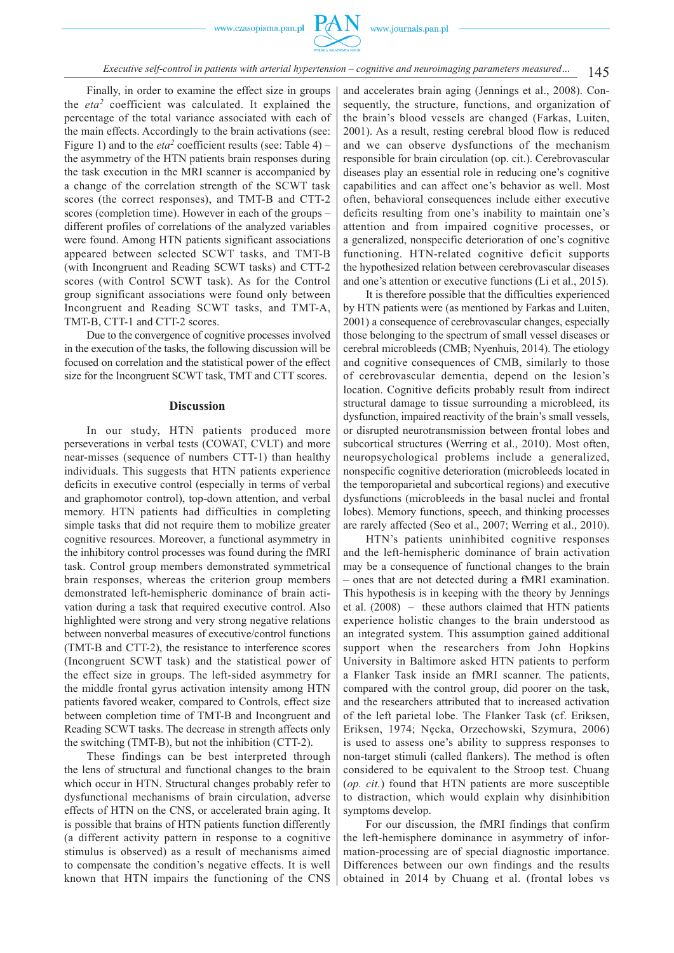

Finally, in order to examine the effect size in groups the *eta2* coefficient was calculated. It explained the percentage of the total variance associated with each of the main effects. Accordingly to the brain activations (see: Figure 1) and to the *eta*<sup>2</sup> coefficient results (see: Table 4) – the asymmetry of the HTN patients brain responses during the task execution in the MRI scanner is accompanied by a change of the correlation strength of the SCWT task scores (the correct responses), and TMT-B and CTT-2 scores (completion time). However in each of the groups – different profiles of correlations of the analyzed variables were found. Among HTN patients significant associations appeared between selected SCWT tasks, and TMT-B (with Incongruent and Reading SCWT tasks) and CTT-2 scores (with Control SCWT task). As for the Control group significant associations were found only between Incongruent and Reading SCWT tasks, and TMT-A, TMT-B, CTT-1 and CTT-2 scores.

Due to the convergence of cognitive processes involved in the execution of the tasks, the following discussion will be focused on correlation and the statistical power of the effect size for the Incongruent SCWT task, TMT and CTT scores.

#### **Discussion**

In our study, HTN patients produced more perseverations in verbal tests (COWAT, CVLT) and more near-misses (sequence of numbers CTT-1) than healthy individuals. This suggests that HTN patients experience deficits in executive control (especially in terms of verbal and graphomotor control), top-down attention, and verbal memory. HTN patients had difficulties in completing simple tasks that did not require them to mobilize greater cognitive resources. Moreover, a functional asymmetry in the inhibitory control processes was found during the fMRI task. Control group members demonstrated symmetrical brain responses, whereas the criterion group members demonstrated left-hemispheric dominance of brain activation during a task that required executive control. Also highlighted were strong and very strong negative relations between nonverbal measures of executive/control functions (TMT-B and CTT-2), the resistance to interference scores (Incongruent SCWT task) and the statistical power of the effect size in groups. The left-sided asymmetry for the middle frontal gyrus activation intensity among HTN patients favored weaker, compared to Controls, effect size between completion time of TMT-B and Incongruent and Reading SCWT tasks. The decrease in strength affects only the switching (TMT-B), but not the inhibition (CTT-2).

These findings can be best interpreted through the lens of structural and functional changes to the brain which occur in HTN. Structural changes probably refer to dysfunctional mechanisms of brain circulation, adverse effects of HTN on the CNS, or accelerated brain aging. It is possible that brains of HTN patients function differently (a different activity pattern in response to a cognitive stimulus is observed) as a result of mechanisms aimed to compensate the condition's negative effects. It is well known that HTN impairs the functioning of the CNS

and accelerates brain aging (Jennings et al., 2008). Consequently, the structure, functions, and organization of the brain's blood vessels are changed (Farkas, Luiten, 2001). As a result, resting cerebral blood flow is reduced and we can observe dysfunctions of the mechanism responsible for brain circulation (op. cit.). Cerebrovascular diseases play an essential role in reducing one's cognitive capabilities and can affect one's behavior as well. Most often, behavioral consequences include either executive deficits resulting from one's inability to maintain one's attention and from impaired cognitive processes, or a generalized, nonspecific deterioration of one's cognitive functioning. HTN-related cognitive deficit supports the hypothesized relation between cerebrovascular diseases and one's attention or executive functions (Li et al., 2015).

It is therefore possible that the difficulties experienced by HTN patients were (as mentioned by Farkas and Luiten, 2001) a consequence of cerebrovascular changes, especially those belonging to the spectrum of small vessel diseases or cerebral microbleeds (CMB; Nyenhuis, 2014). The etiology and cognitive consequences of CMB, similarly to those of cerebrovascular dementia, depend on the lesion's location. Cognitive deficits probably result from indirect structural damage to tissue surrounding a microbleed, its dysfunction, impaired reactivity of the brain's small vessels, or disrupted neurotransmission between frontal lobes and subcortical structures (Werring et al., 2010). Most often, neuropsychological problems include a generalized, nonspecific cognitive deterioration (microbleeds located in the temporoparietal and subcortical regions) and executive dysfunctions (microbleeds in the basal nuclei and frontal lobes). Memory functions, speech, and thinking processes are rarely affected (Seo et al., 2007; Werring et al., 2010).

HTN's patients uninhibited cognitive responses and the left-hemispheric dominance of brain activation may be a consequence of functional changes to the brain – ones that are not detected during a fMRI examination. This hypothesis is in keeping with the theory by Jennings et al. (2008) – these authors claimed that HTN patients experience holistic changes to the brain understood as an integrated system. This assumption gained additional support when the researchers from John Hopkins University in Baltimore asked HTN patients to perform a Flanker Task inside an fMRI scanner. The patients, compared with the control group, did poorer on the task, and the researchers attributed that to increased activation of the left parietal lobe. The Flanker Task (cf. Eriksen, Eriksen, 1974; Nęcka, Orzechowski, Szymura, 2006) is used to assess one's ability to suppress responses to non-target stimuli (called flankers). The method is often considered to be equivalent to the Stroop test. Chuang (*op. cit.*) found that HTN patients are more susceptible to distraction, which would explain why disinhibition symptoms develop.

For our discussion, the fMRI findings that confirm the left-hemisphere dominance in asymmetry of information-processing are of special diagnostic importance. Differences between our own findings and the results obtained in 2014 by Chuang et al. (frontal lobes vs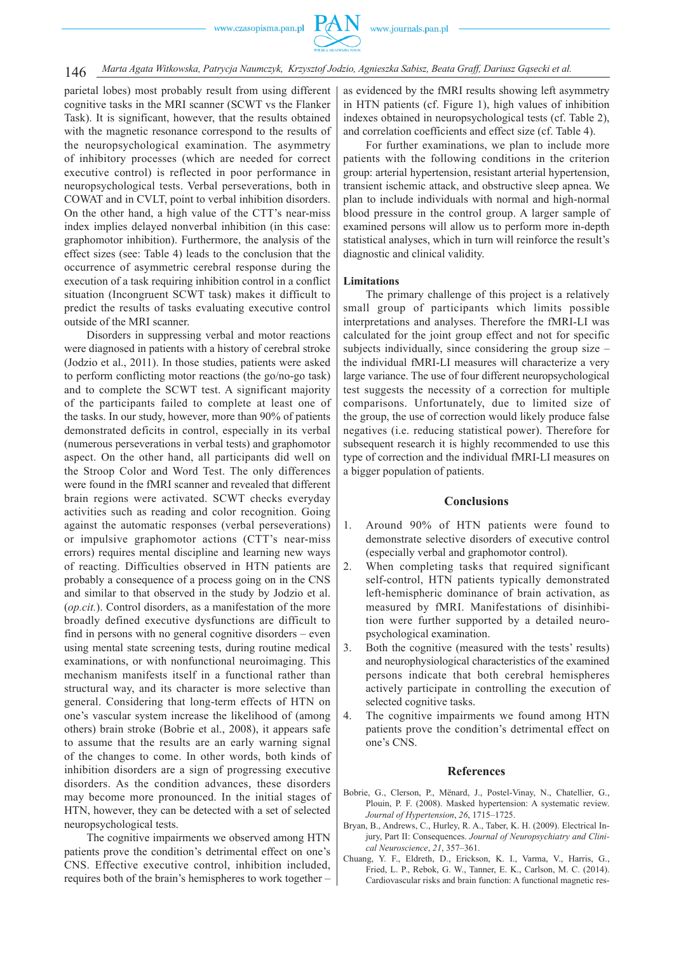parietal lobes) most probably result from using different cognitive tasks in the MRI scanner (SCWT vs the Flanker Task). It is significant, however, that the results obtained with the magnetic resonance correspond to the results of the neuropsychological examination. The asymmetry of inhibitory processes (which are needed for correct executive control) is reflected in poor performance in neuropsychological tests. Verbal perseverations, both in COWAT and in CVLT, point to verbal inhibition disorders. On the other hand, a high value of the CTT's near-miss index implies delayed nonverbal inhibition (in this case: graphomotor inhibition). Furthermore, the analysis of the effect sizes (see: Table 4) leads to the conclusion that the occurrence of asymmetric cerebral response during the execution of a task requiring inhibition control in a conflict situation (Incongruent SCWT task) makes it difficult to predict the results of tasks evaluating executive control outside of the MRI scanner.

Disorders in suppressing verbal and motor reactions were diagnosed in patients with a history of cerebral stroke (Jodzio et al., 2011). In those studies, patients were asked to perform conflicting motor reactions (the go/no-go task) and to complete the SCWT test. A significant majority of the participants failed to complete at least one of the tasks. In our study, however, more than 90% of patients demonstrated deficits in control, especially in its verbal (numerous perseverations in verbal tests) and graphomotor aspect. On the other hand, all participants did well on the Stroop Color and Word Test. The only differences were found in the fMRI scanner and revealed that different brain regions were activated. SCWT checks everyday activities such as reading and color recognition. Going against the automatic responses (verbal perseverations) or impulsive graphomotor actions (CTT's near-miss errors) requires mental discipline and learning new ways of reacting. Difficulties observed in HTN patients are probably a consequence of a process going on in the CNS and similar to that observed in the study by Jodzio et al. (*op.cit.*). Control disorders, as a manifestation of the more broadly defined executive dysfunctions are difficult to find in persons with no general cognitive disorders – even using mental state screening tests, during routine medical examinations, or with nonfunctional neuroimaging. This mechanism manifests itself in a functional rather than structural way, and its character is more selective than general. Considering that long-term effects of HTN on one's vascular system increase the likelihood of (among others) brain stroke (Bobrie et al., 2008), it appears safe to assume that the results are an early warning signal of the changes to come. In other words, both kinds of inhibition disorders are a sign of progressing executive disorders. As the condition advances, these disorders may become more pronounced. In the initial stages of HTN, however, they can be detected with a set of selected neuropsychological tests.

The cognitive impairments we observed among HTN patients prove the condition's detrimental effect on one's CNS. Effective executive control, inhibition included, requires both of the brain's hemispheres to work together – as evidenced by the fMRI results showing left asymmetry in HTN patients (cf. Figure 1), high values of inhibition indexes obtained in neuropsychological tests (cf. Table 2), and correlation coefficients and effect size (cf. Table 4).

For further examinations, we plan to include more patients with the following conditions in the criterion group: arterial hypertension, resistant arterial hypertension, transient ischemic attack, and obstructive sleep apnea. We plan to include individuals with normal and high-normal blood pressure in the control group. A larger sample of examined persons will allow us to perform more in-depth statistical analyses, which in turn will reinforce the result's diagnostic and clinical validity.

#### **Limitations**

The primary challenge of this project is a relatively small group of participants which limits possible interpretations and analyses. Therefore the fMRI-LI was calculated for the joint group effect and not for specific subjects individually, since considering the group size – the individual fMRI-LI measures will characterize a very large variance. The use of four different neuropsychological test suggests the necessity of a correction for multiple comparisons. Unfortunately, due to limited size of the group, the use of correction would likely produce false negatives (i.e. reducing statistical power). Therefore for subsequent research it is highly recommended to use this type of correction and the individual fMRI-LI measures on a bigger population of patients.

#### **Conclusions**

- 1. Around 90% of HTN patients were found to demonstrate selective disorders of executive control (especially verbal and graphomotor control).
- 2. When completing tasks that required significant self-control, HTN patients typically demonstrated left -hemispheric dominance of brain activation, as measured by fMRI. Manifestations of disinhibition were further supported by a detailed neuropsychological examination.
- 3. Both the cognitive (measured with the tests' results) and neurophysiological characteristics of the examined persons indicate that both cerebral hemispheres actively participate in controlling the execution of selected cognitive tasks.
- 4. The cognitive impairments we found among HTN patients prove the condition's detrimental effect on one's CNS.

#### **References**

- Bobrie, G., Clerson, P., Mënard, J., Postel-Vinay, N., Chatellier, G., Plouin, P. F. (2008). Masked hypertension: A systematic review. *Journal of Hypertension*, *26*, 1715–1725.
- Bryan, B., Andrews, C., Hurley, R. A., Taber, K. H. (2009). Electrical Injury, Part II: Consequences. *Journal of Neuropsychiatry and Clinical Neuroscience*, *21*, 357–361.
- Chuang, Y. F., Eldreth, D., Erickson, K. I., Varma, V., Harris, G., Fried, L. P., Rebok, G. W., Tanner, E. K., Carlson, M. C. (2014). Cardiovascular risks and brain function: A functional magnetic res-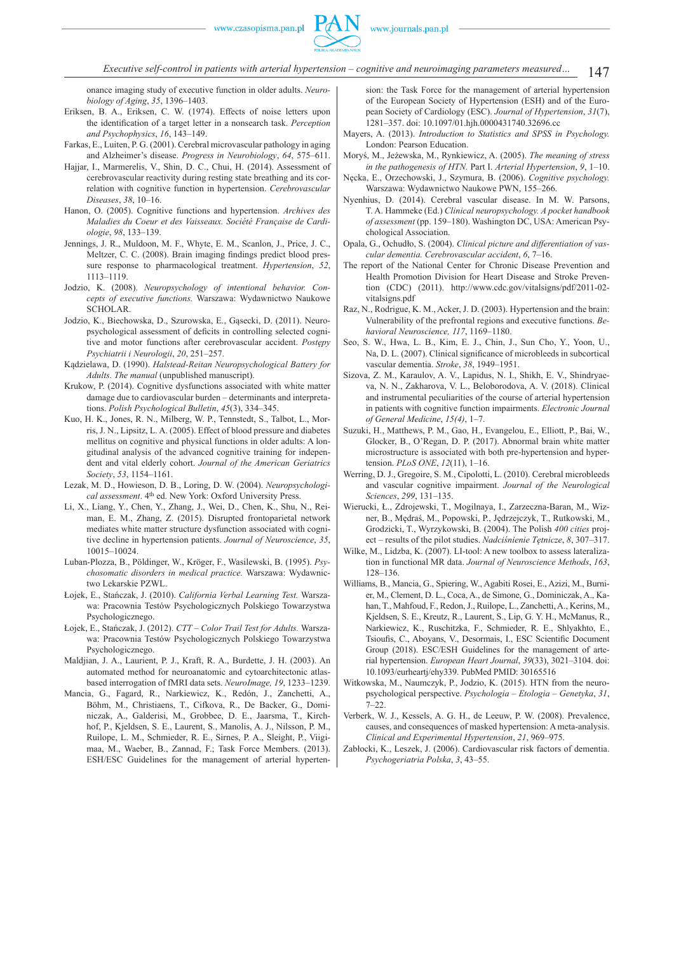147 *Executive self-control in patients with arterial hypertension – cognitive and neuroimaging parameters measured…*

onance imaging study of executive function in older adults. *Neurobiology of Aging*, *35*, 1396–1403.

- Eriksen, B. A., Eriksen, C. W. (1974). Effects of noise letters upon the identification of a target letter in a nonsearch task. *Perception and Psychophysics*, *16*, 143–149.
- Farkas, E., Luiten, P. G. (2001). Cerebral microvascular pathology in aging and Alzheimer's disease. *Progress in Neurobiology*, *64*, 575–611.
- Hajjar, I., Marmerelis, V., Shin, D. C., Chui, H. (2014). Assessment of cerebrovascular reactivity during resting state breathing and its correlation with cognitive function in hypertension. *Cerebrovascular Diseases*, *38*, 10–16.
- Hanon, O. (2005). Cognitive functions and hypertension. *Archives des Maladies du Coeur et des Vaisseaux. Société Française de Cardiologie*, *98*, 133–139.
- Jennings, J. R., Muldoon, M. F., Whyte, E. M., Scanlon, J., Price, J. C., Meltzer, C. C. (2008). Brain imaging findings predict blood pressure response to pharmacological treatment. *Hypertension*, *52*, 1113–1119.
- Jodzio, K. (2008). *Neuropsychology of intentional behavior. Concepts of executive functions.* Warszawa: Wydawnictwo Naukowe SCHOLAR.
- Jodzio, K., Biechowska, D., Szurowska, E., Gąsecki, D. (2011). Neuropsychological assessment of deficits in controlling selected cognitive and motor functions after cerebrovascular accident. *Postępy Psychiatrii i Neurologii*, *20*, 251–257.
- Kądzielawa, D. (1990). *Halstead-Reitan Neuropsychological Battery for Adults. The manual* (unpublished manuscript).
- Krukow, P. (2014). Cognitive dysfunctions associated with white matter damage due to cardiovascular burden – determinants and interpretations. *Polish Psychological Bulletin*, *45*(3), 334–345.
- Kuo, H. K., Jones, R. N., Milberg, W. P., Tennstedt, S., Talbot, L., Morris, J. N., Lipsitz, L. A. (2005). Effect of blood pressure and diabetes mellitus on cognitive and physical functions in older adults: A longitudinal analysis of the advanced cognitive training for independent and vital elderly cohort. *Journal of the American Geriatrics Society*, *53*, 1154–1161.
- Lezak, M. D., Howieson, D. B., Loring, D. W. (2004). *Neuropsychological assessment*. 4th ed. New York: Oxford University Press.
- Li, X., Liang, Y., Chen, Y., Zhang, J., Wei, D., Chen, K., Shu, N., Reiman, E. M., Zhang, Z. (2015). Disrupted frontoparietal network mediates white matter structure dysfunction associated with cognitive decline in hypertension patients. *Journal of Neuroscience*, *35*, 10015–10024.
- Luban-Plozza, B., Pöldinger, W., Kröger, F., Wasilewski, B. (1995). *Psychosomatic disorders in medical practice.* Warszawa: Wydawnictwo Lekarskie PZWL.
- Łojek, E., Stańczak, J. (2010). *California Verbal Learning Test.* Warszawa: Pracownia Testów Psychologicznych Polskiego Towarzystwa Psychologicznego.
- Łojek, E., Stańczak, J. (2012). *CTT Color Trail Test for Adults.* Warszawa: Pracownia Testów Psychologicznych Polskiego Towarzystwa Psychologicznego.
- Maldjian, J. A., Laurient, P. J., Kraft, R. A., Burdette, J. H. (2003). An automated method for neuroanatomic and cytoarchitectonic atlasbased interrogation of fMRI data sets. *NeuroImage, 19*, 1233–1239.
- Mancia, G., Fagard, R., Narkiewicz, K., Redón, J., Zanchetti, A., Böhm, M., Christiaens, T., Cifkova, R., De Backer, G., Dominiczak, A., Galderisi, M., Grobbee, D. E., Jaarsma, T., Kirchhof, P., Kjeldsen, S. E., Laurent, S., Manolis, A. J., Nilsson, P. M., Ruilope, L. M., Schmieder, R. E., Sirnes, P. A., Sleight, P., Viigimaa, M., Waeber, B., Zannad, F.; Task Force Members. (2013). ESH/ESC Guidelines for the management of arterial hyperten-

sion: the Task Force for the management of arterial hypertension of the European Society of Hypertension (ESH) and of the European Society of Cardiology (ESC). *Journal of Hypertension*, *31*(7), 1281–357. doi: 10.1097/01.hjh.0000431740.32696.cc

- Mayers, A. (2013). *Introduction to Statistics and SPSS in Psychology.*  London: Pearson Education.
- Moryś, M., Jeżewska, M., Rynkiewicz, A. (2005). *The meaning of stress in the pathogenesis of HTN.* Part I. *Arterial Hypertension*, *9*, 1–10.
- Nęcka, E., Orzechowski, J., Szymura, B. (2006). *Cognitive psychology.* Warszawa: Wydawnictwo Naukowe PWN, 155–266.
- Nyenhius, D. (2014). Cerebral vascular disease. In M. W. Parsons, T. A. Hammeke (Ed.) *Clinical neuropsychology. A pocket handbook of assessment* (pp. 159–180). Washington DC, USA: American Psychological Association.
- Opala, G., Ochudło, S. (2004). *Clinical picture and differentiation of vascular dementia. Cerebrovascular accident*, *6*, 7–16.
- The report of the National Center for Chronic Disease Prevention and Health Promotion Division for Heart Disease and Stroke Prevention (CDC) (2011). http://www.cdc.gov/vitalsigns/pdf/2011-02 vitalsigns.pdf
- Raz, N., Rodrigue, K. M., Acker, J. D. (2003). Hypertension and the brain: Vulnerability of the prefrontal regions and executive functions. *Behavioral Neuroscience, 117*, 1169–1180.
- Seo, S. W., Hwa, L. B., Kim, E. J., Chin, J., Sun Cho, Y., Yoon, U., Na, D. L. (2007). Clinical significance of microbleeds in subcortical vascular dementia. *Stroke*, *38*, 1949–1951.
- Sizova, Z. M., Karaulov, A. V., Lapidus, N. I., Shikh, E. V., Shindryaeva, N. N., Zakharova, V. L., Beloborodova, A. V. (2018). Clinical and instrumental peculiarities of the course of arterial hypertension in patients with cognitive function impairments. *Electronic Journal of General Medicine*, *15(4)*, 1–7.
- Suzuki, H., Matthews, P. M., Gao, H., Evangelou, E., Elliott, P., Bai, W., Glocker, B., O'Regan, D. P. (2017). Abnormal brain white matter microstructure is associated with both pre-hypertension and hypertension. *PLoS ONE*, *12*(11), 1–16.
- Werring, D. J., Gregoire, S. M., Cipolotti, L. (2010). Cerebral microbleeds and vascular cognitive impairment. *Journal of the Neurological Sciences*, *299*, 131–135.
- Wierucki, Ł., Zdrojewski, T., Mogilnaya, I., Zarzeczna-Baran, M., Wizner, B., Mędraś, M., Popowski, P., Jędrzejczyk, T., Rutkowski, M., Grodzicki, T., Wyrzykowski, B. (2004). The Polish *400 cities* project – results of the pilot studies. *Nadciśnienie Tętnicze*, *8*, 307–317.
- Wilke, M., Lidzba, K. (2007). LI-tool: A new toolbox to assess lateralization in functional MR data. *Journal of Neuroscience Methods*, *163*, 128–136.
- Williams, B., Mancia, G., Spiering, W., Agabiti Rosei, E., Azizi, M., Burnier, M., Clement, D. L., Coca, A., de Simone, G., Dominiczak, A., Kahan, T., Mahfoud, F., Redon, J., Ruilope, L., Zanchetti, A., Kerins, M., Kjeldsen, S. E., Kreutz, R., Laurent, S., Lip, G. Y. H., McManus, R., Narkiewicz, K., Ruschitzka, F., Schmieder, R. E., Shlyakhto, E., Tsioufis, C., Aboyans, V., Desormais, I., ESC Scientific Document Group (2018). ESC/ESH Guidelines for the management of arterial hypertension. *European Heart Journal*, *39*(33), 3021–3104. doi: 10.1093/eurheartj/ehy339. PubMed PMID: 30165516
- Witkowska, M., Naumczyk, P., Jodzio, K. (2015). HTN from the neuropsychological perspective. *Psychologia – Etologia – Genetyka*, *31*, 7–22.
- Verberk, W. J., Kessels, A. G. H., de Leeuw, P. W. (2008). Prevalence, causes, and consequences of masked hypertension: A meta-analysis. *Clinical and Experimental Hypertension*, *21*, 969–975.
- Zabłocki, K., Leszek, J. (2006). Cardiovascular risk factors of dementia. *Psychogeriatria Polska*, *3*, 43–55.